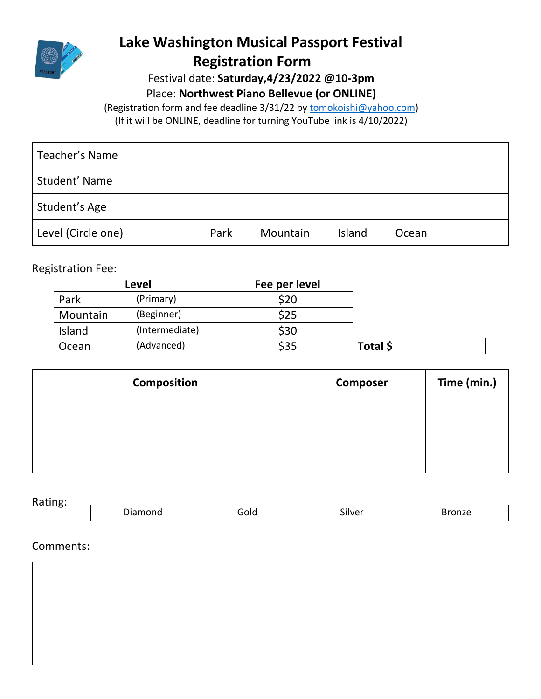

# **Lake Washington Musical Passport Festival Registration Form**

Festival date: **Saturday,4/23/2022 @10-3pm** Place: **Northwest Piano Bellevue (or ONLINE)**

(Registration form and fee deadline 3/31/22 by tomokoishi@yahoo.com) (If it will be ONLINE, deadline for turning YouTube link is 4/10/2022)

| Teacher's Name     |      |          |        |       |
|--------------------|------|----------|--------|-------|
| Student' Name      |      |          |        |       |
| Student's Age      |      |          |        |       |
| Level (Circle one) | Park | Mountain | Island | Ocean |

Registration Fee:

|          | Level          | Fee per level |
|----------|----------------|---------------|
| Park     | (Primary)      | \$20          |
| Mountain | (Beginner)     | \$25          |
| Island   | (Intermediate) | \$30          |
| Ocean    | (Advanced)     | \$35          |

| Composition | <b>Composer</b> | Time (min.) |
|-------------|-----------------|-------------|
|             |                 |             |
|             |                 |             |
|             |                 |             |

Rating:

| o.<br>_________<br>- - -<br>_____ |
|-----------------------------------|
|-----------------------------------|

Comments: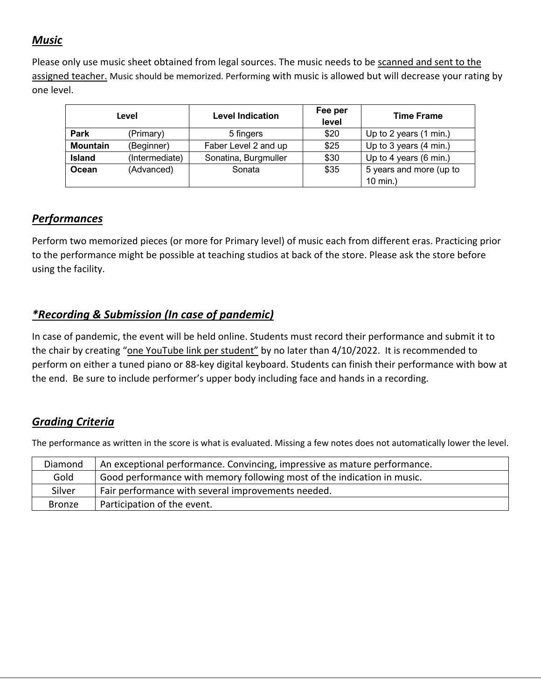## *Music*

Please only use music sheet obtained from legal sources. The music needs to be scanned and sent to the assigned teacher. Music should be memorized. Performing with music is allowed but will decrease your rating by one level.

|                 | Level          | <b>Level Indication</b> | Fee per<br>level | <b>Time Frame</b>       |
|-----------------|----------------|-------------------------|------------------|-------------------------|
| <b>Park</b>     | (Primary)      | 5 fingers               | \$20             | Up to 2 years (1 min.)  |
| <b>Mountain</b> | (Beginner)     | Faber Level 2 and up    | \$25             | Up to 3 years (4 min.)  |
| Island          | (Intermediate) | Sonatina, Burgmuller    | \$30             | Up to 4 years (6 min.)  |
| Ocean           | (Advanced)     | Sonata                  | \$35             | 5 years and more (up to |
|                 |                |                         |                  | 10 min.)                |

### *Performances*

Perform two memorized pieces (or more for Primary level) of music each from different eras. Practicing prior to the performance might be possible at teaching studios at back of the store. Please ask the store before using the facility.

### *\*Recording & Submission (In case of pandemic)*

In case of pandemic, the event will be held online. Students must record their performance and submit it to the chair by creating "one YouTube link per student" by no later than 4/10/2022. It is recommended to perform on either a tuned piano or 88-key digital keyboard. Students can finish their performance with bow at the end. Be sure to include performer's upper body including face and hands in a recording.

### *Grading Criteria*

The performance as written in the score is what is evaluated. Missing a few notes does not automatically lower the level.

| Diamond | An exceptional performance. Convincing, impressive as mature performance. |
|---------|---------------------------------------------------------------------------|
| Gold    | Good performance with memory following most of the indication in music.   |
| Silver  | Fair performance with several improvements needed.                        |
| Bronze  | Participation of the event.                                               |